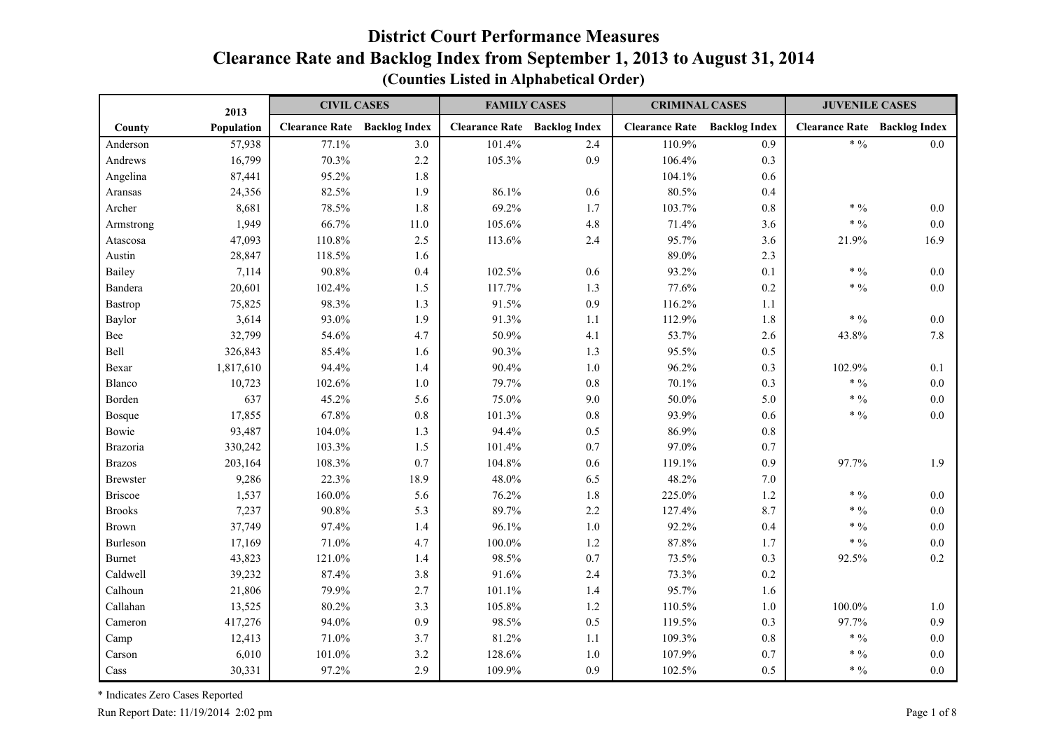#### **District Court Performance Measures Clearance Rate and Backlog Index from September 1, 2013 to August 31, 2014 (Counties Listed in Alphabetical Order)**

|                 | 2013       | <b>CIVIL CASES</b>    |                      | <b>FAMILY CASES</b>   |                      | <b>CRIMINAL CASES</b> |                      | <b>JUVENILE CASES</b>               |         |
|-----------------|------------|-----------------------|----------------------|-----------------------|----------------------|-----------------------|----------------------|-------------------------------------|---------|
| County          | Population | <b>Clearance Rate</b> | <b>Backlog Index</b> | <b>Clearance Rate</b> | <b>Backlog Index</b> | <b>Clearance Rate</b> | <b>Backlog Index</b> | <b>Clearance Rate Backlog Index</b> |         |
| Anderson        | 57,938     | 77.1%                 | 3.0                  | 101.4%                | 2.4                  | 110.9%                | 0.9                  | $* 9/0$                             | 0.0     |
| Andrews         | 16,799     | 70.3%                 | 2.2                  | 105.3%                | 0.9                  | 106.4%                | 0.3                  |                                     |         |
| Angelina        | 87,441     | 95.2%                 | 1.8                  |                       |                      | 104.1%                | 0.6                  |                                     |         |
| Aransas         | 24,356     | 82.5%                 | 1.9                  | 86.1%                 | 0.6                  | 80.5%                 | 0.4                  |                                     |         |
| Archer          | 8,681      | 78.5%                 | 1.8                  | 69.2%                 | 1.7                  | 103.7%                | $0.8\,$              | $* 9/0$                             | 0.0     |
| Armstrong       | 1,949      | 66.7%                 | $11.0\,$             | 105.6%                | 4.8                  | 71.4%                 | 3.6                  | $* 9/0$                             | 0.0     |
| Atascosa        | 47,093     | 110.8%                | 2.5                  | 113.6%                | 2.4                  | 95.7%                 | 3.6                  | 21.9%                               | 16.9    |
| Austin          | 28,847     | 118.5%                | 1.6                  |                       |                      | 89.0%                 | 2.3                  |                                     |         |
| Bailey          | 7,114      | 90.8%                 | 0.4                  | 102.5%                | 0.6                  | 93.2%                 | 0.1                  | $\ast$ $\%$                         | 0.0     |
| Bandera         | 20,601     | 102.4%                | 1.5                  | 117.7%                | 1.3                  | 77.6%                 | 0.2                  | $* 9/0$                             | 0.0     |
| Bastrop         | 75,825     | 98.3%                 | 1.3                  | 91.5%                 | 0.9                  | 116.2%                | 1.1                  |                                     |         |
| Baylor          | 3,614      | 93.0%                 | 1.9                  | 91.3%                 | 1.1                  | 112.9%                | 1.8                  | $* 9/0$                             | 0.0     |
| Bee             | 32,799     | 54.6%                 | 4.7                  | 50.9%                 | 4.1                  | 53.7%                 | 2.6                  | 43.8%                               | 7.8     |
| Bell            | 326,843    | 85.4%                 | 1.6                  | 90.3%                 | 1.3                  | 95.5%                 | 0.5                  |                                     |         |
| Bexar           | 1,817,610  | 94.4%                 | 1.4                  | 90.4%                 | 1.0                  | 96.2%                 | 0.3                  | 102.9%                              | 0.1     |
| Blanco          | 10,723     | 102.6%                | $1.0\,$              | 79.7%                 | 0.8                  | 70.1%                 | 0.3                  | $* 9/0$                             | 0.0     |
| Borden          | 637        | 45.2%                 | 5.6                  | 75.0%                 | 9.0                  | $50.0\%$              | 5.0                  | $\ast$ $\%$                         | $0.0\,$ |
| Bosque          | 17,855     | 67.8%                 | $0.8\,$              | 101.3%                | $0.8\,$              | 93.9%                 | 0.6                  | $* 9/0$                             | 0.0     |
| Bowie           | 93,487     | 104.0%                | 1.3                  | 94.4%                 | 0.5                  | 86.9%                 | $0.8\,$              |                                     |         |
| Brazoria        | 330,242    | 103.3%                | 1.5                  | 101.4%                | 0.7                  | 97.0%                 | 0.7                  |                                     |         |
| <b>Brazos</b>   | 203,164    | 108.3%                | 0.7                  | 104.8%                | 0.6                  | 119.1%                | 0.9                  | 97.7%                               | 1.9     |
| <b>Brewster</b> | 9,286      | 22.3%                 | 18.9                 | 48.0%                 | 6.5                  | 48.2%                 | $7.0\,$              |                                     |         |
| <b>Briscoe</b>  | 1,537      | 160.0%                | 5.6                  | 76.2%                 | 1.8                  | 225.0%                | $1.2\,$              | $*9/0$                              | 0.0     |
| <b>Brooks</b>   | 7,237      | 90.8%                 | 5.3                  | 89.7%                 | 2.2                  | 127.4%                | 8.7                  | $* 9/0$                             | $0.0\,$ |
| Brown           | 37,749     | 97.4%                 | 1.4                  | 96.1%                 | 1.0                  | 92.2%                 | 0.4                  | $* 9/0$                             | 0.0     |
| Burleson        | 17,169     | 71.0%                 | 4.7                  | $100.0\%$             | 1.2                  | 87.8%                 | 1.7                  | $* 9/0$                             | 0.0     |
| <b>Burnet</b>   | 43,823     | 121.0%                | 1.4                  | 98.5%                 | 0.7                  | 73.5%                 | 0.3                  | 92.5%                               | 0.2     |
| Caldwell        | 39,232     | 87.4%                 | 3.8                  | 91.6%                 | 2.4                  | 73.3%                 | $0.2\,$              |                                     |         |
| Calhoun         | 21,806     | 79.9%                 | 2.7                  | 101.1%                | 1.4                  | 95.7%                 | 1.6                  |                                     |         |
| Callahan        | 13,525     | 80.2%                 | 3.3                  | 105.8%                | 1.2                  | 110.5%                | $1.0\,$              | 100.0%                              | 1.0     |
| Cameron         | 417,276    | 94.0%                 | 0.9                  | 98.5%                 | 0.5                  | 119.5%                | 0.3                  | 97.7%                               | 0.9     |
| Camp            | 12,413     | 71.0%                 | 3.7                  | 81.2%                 | 1.1                  | 109.3%                | $0.8\,$              | $* 9/0$                             | 0.0     |
| Carson          | 6,010      | 101.0%                | 3.2                  | 128.6%                | 1.0                  | 107.9%                | 0.7                  | $* 9/0$                             | 0.0     |
| Cass            | 30,331     | 97.2%                 | 2.9                  | 109.9%                | 0.9                  | 102.5%                | 0.5                  | $\ast$ $\%$                         | 0.0     |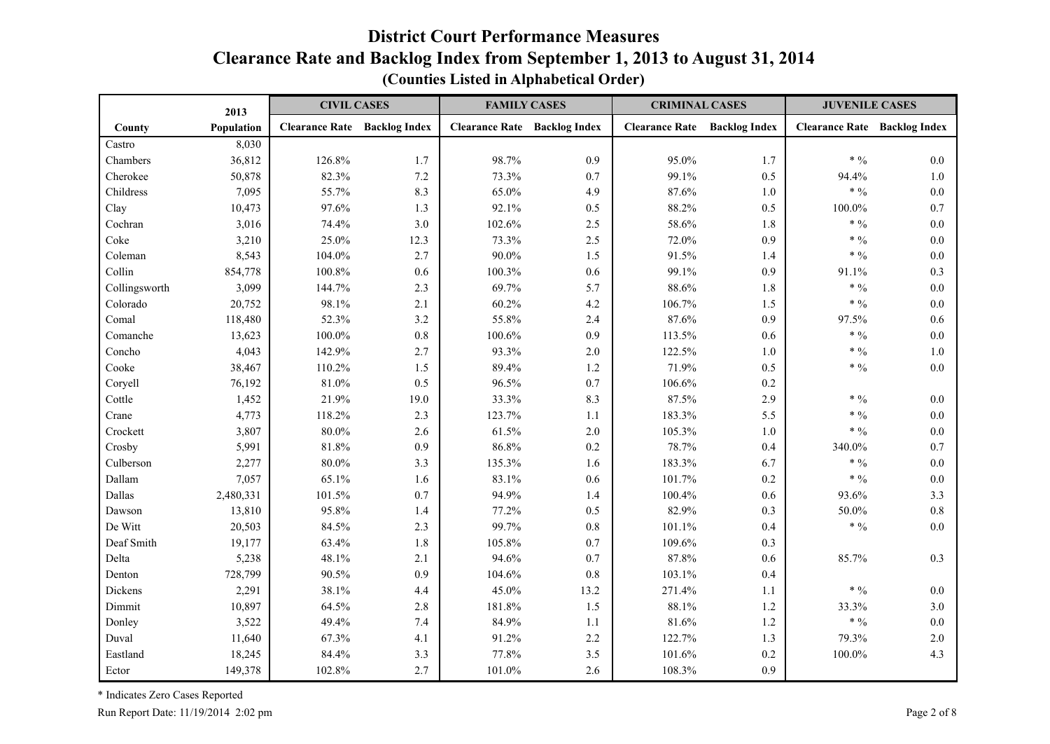|               | 2013       | <b>CIVIL CASES</b>                  |      | <b>FAMILY CASES</b>                 |       | <b>CRIMINAL CASES</b>               |         | <b>JUVENILE CASES</b>               |         |
|---------------|------------|-------------------------------------|------|-------------------------------------|-------|-------------------------------------|---------|-------------------------------------|---------|
| County        | Population | <b>Clearance Rate</b> Backlog Index |      | <b>Clearance Rate Backlog Index</b> |       | <b>Clearance Rate</b> Backlog Index |         | <b>Clearance Rate Backlog Index</b> |         |
| Castro        | 8,030      |                                     |      |                                     |       |                                     |         |                                     |         |
| Chambers      | 36,812     | 126.8%                              | 1.7  | 98.7%                               | 0.9   | 95.0%                               | 1.7     | * $\frac{0}{0}$                     | 0.0     |
| Cherokee      | 50,878     | 82.3%                               | 7.2  | 73.3%                               | 0.7   | 99.1%                               | 0.5     | 94.4%                               | 1.0     |
| Childress     | 7,095      | 55.7%                               | 8.3  | 65.0%                               | 4.9   | 87.6%                               | 1.0     | * $\frac{0}{0}$                     | 0.0     |
| Clay          | 10,473     | 97.6%                               | 1.3  | 92.1%                               | 0.5   | 88.2%                               | 0.5     | 100.0%                              | 0.7     |
| Cochran       | 3,016      | 74.4%                               | 3.0  | 102.6%                              | 2.5   | 58.6%                               | 1.8     | $* 9/0$                             | 0.0     |
| Coke          | 3,210      | 25.0%                               | 12.3 | 73.3%                               | 2.5   | 72.0%                               | 0.9     | * $\frac{0}{0}$                     | 0.0     |
| Coleman       | 8,543      | 104.0%                              | 2.7  | 90.0%                               | 1.5   | 91.5%                               | $1.4\,$ | $* 9/0$                             | 0.0     |
| Collin        | 854,778    | 100.8%                              | 0.6  | 100.3%                              | 0.6   | 99.1%                               | 0.9     | 91.1%                               | 0.3     |
| Collingsworth | 3,099      | 144.7%                              | 2.3  | 69.7%                               | 5.7   | 88.6%                               | 1.8     | $* 9/0$                             | 0.0     |
| Colorado      | 20,752     | 98.1%                               | 2.1  | 60.2%                               | 4.2   | 106.7%                              | 1.5     | $* 9/0$                             | 0.0     |
| Comal         | 118,480    | 52.3%                               | 3.2  | 55.8%                               | 2.4   | 87.6%                               | 0.9     | 97.5%                               | 0.6     |
| Comanche      | 13,623     | 100.0%                              | 0.8  | 100.6%                              | 0.9   | 113.5%                              | 0.6     | * $\frac{0}{0}$                     | 0.0     |
| Concho        | 4,043      | 142.9%                              | 2.7  | 93.3%                               | $2.0$ | 122.5%                              | $1.0\,$ | $\ast$ $\,9\!/\!{}_0$               | 1.0     |
| Cooke         | 38,467     | 110.2%                              | 1.5  | 89.4%                               | 1.2   | 71.9%                               | 0.5     | * $\frac{0}{0}$                     | 0.0     |
| Coryell       | 76,192     | 81.0%                               | 0.5  | 96.5%                               | 0.7   | 106.6%                              | $0.2\,$ |                                     |         |
| Cottle        | 1,452      | 21.9%                               | 19.0 | 33.3%                               | 8.3   | 87.5%                               | 2.9     | * $\frac{0}{0}$                     | 0.0     |
| Crane         | 4,773      | 118.2%                              | 2.3  | 123.7%                              | 1.1   | 183.3%                              | 5.5     | * $\frac{0}{0}$                     | $0.0\,$ |
| Crockett      | 3,807      | 80.0%                               | 2.6  | 61.5%                               | 2.0   | 105.3%                              | $1.0\,$ | * $\frac{0}{0}$                     | 0.0     |
| Crosby        | 5,991      | 81.8%                               | 0.9  | 86.8%                               | 0.2   | 78.7%                               | 0.4     | 340.0%                              | 0.7     |
| Culberson     | 2,277      | $80.0\%$                            | 3.3  | 135.3%                              | 1.6   | 183.3%                              | 6.7     | $* 9/0$                             | 0.0     |
| Dallam        | 7,057      | 65.1%                               | 1.6  | 83.1%                               | 0.6   | 101.7%                              | $0.2\,$ | $\ast$ $\%$                         | $0.0\,$ |
| Dallas        | 2,480,331  | 101.5%                              | 0.7  | 94.9%                               | 1.4   | 100.4%                              | 0.6     | 93.6%                               | 3.3     |
| Dawson        | 13,810     | 95.8%                               | 1.4  | 77.2%                               | 0.5   | 82.9%                               | 0.3     | $50.0\%$                            | 0.8     |
| De Witt       | 20,503     | 84.5%                               | 2.3  | 99.7%                               | 0.8   | 101.1%                              | 0.4     | $* 9/0$                             | 0.0     |
| Deaf Smith    | 19,177     | 63.4%                               | 1.8  | 105.8%                              | 0.7   | 109.6%                              | 0.3     |                                     |         |
| Delta         | 5,238      | 48.1%                               | 2.1  | 94.6%                               | 0.7   | 87.8%                               | 0.6     | 85.7%                               | 0.3     |
| Denton        | 728,799    | 90.5%                               | 0.9  | 104.6%                              | 0.8   | 103.1%                              | 0.4     |                                     |         |
| Dickens       | 2,291      | 38.1%                               | 4.4  | 45.0%                               | 13.2  | 271.4%                              | 1.1     | * $\frac{0}{0}$                     | 0.0     |
| Dimmit        | 10,897     | 64.5%                               | 2.8  | 181.8%                              | 1.5   | 88.1%                               | 1.2     | 33.3%                               | 3.0     |
| Donley        | 3,522      | 49.4%                               | 7.4  | 84.9%                               | 1.1   | 81.6%                               | 1.2     | $* 9/0$                             | 0.0     |
| Duval         | 11,640     | 67.3%                               | 4.1  | 91.2%                               | 2.2   | 122.7%                              | 1.3     | 79.3%                               | 2.0     |
| Eastland      | 18,245     | 84.4%                               | 3.3  | 77.8%                               | 3.5   | 101.6%                              | 0.2     | 100.0%                              | 4.3     |
| Ector         | 149,378    | 102.8%                              | 2.7  | 101.0%                              | 2.6   | 108.3%                              | 0.9     |                                     |         |

**(Counties Listed in Alphabetical Order)**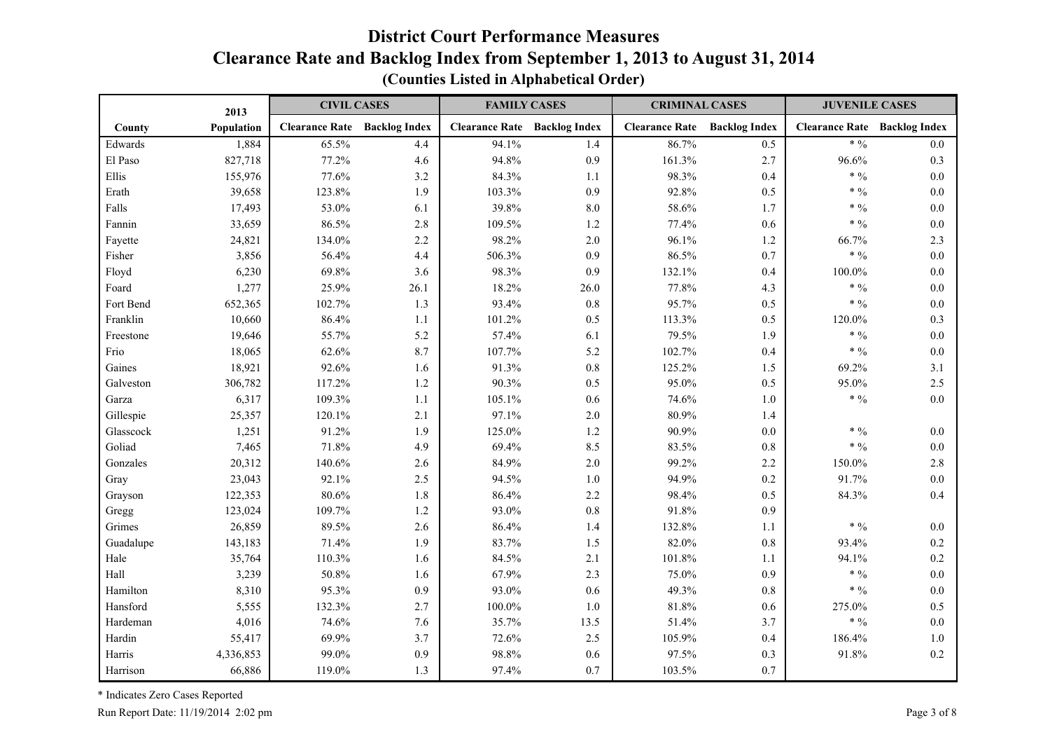|           | 2013       | <b>CIVIL CASES</b>    |                      | <b>FAMILY CASES</b>   |                      | <b>CRIMINAL CASES</b> |                      | <b>JUVENILE CASES</b> |                      |
|-----------|------------|-----------------------|----------------------|-----------------------|----------------------|-----------------------|----------------------|-----------------------|----------------------|
| County    | Population | <b>Clearance Rate</b> | <b>Backlog Index</b> | <b>Clearance Rate</b> | <b>Backlog Index</b> | <b>Clearance Rate</b> | <b>Backlog Index</b> | <b>Clearance Rate</b> | <b>Backlog Index</b> |
| Edwards   | 1,884      | 65.5%                 | 4.4                  | 94.1%                 | 1.4                  | 86.7%                 | 0.5                  | * $\frac{0}{0}$       | 0.0                  |
| El Paso   | 827,718    | 77.2%                 | 4.6                  | 94.8%                 | 0.9                  | 161.3%                | 2.7                  | 96.6%                 | 0.3                  |
| Ellis     | 155,976    | 77.6%                 | 3.2                  | 84.3%                 | 1.1                  | 98.3%                 | 0.4                  | $* 9/0$               | 0.0                  |
| Erath     | 39,658     | 123.8%                | 1.9                  | 103.3%                | 0.9                  | 92.8%                 | 0.5                  | * $\frac{0}{0}$       | 0.0                  |
| Falls     | 17,493     | 53.0%                 | 6.1                  | 39.8%                 | $8.0\,$              | 58.6%                 | 1.7                  | $* 9/0$               | 0.0                  |
| Fannin    | 33,659     | 86.5%                 | 2.8                  | 109.5%                | 1.2                  | 77.4%                 | 0.6                  | * $\frac{0}{0}$       | 0.0                  |
| Fayette   | 24,821     | 134.0%                | 2.2                  | 98.2%                 | 2.0                  | 96.1%                 | 1.2                  | 66.7%                 | 2.3                  |
| Fisher    | 3,856      | 56.4%                 | 4.4                  | 506.3%                | 0.9                  | 86.5%                 | 0.7                  | * $\frac{0}{0}$       | 0.0                  |
| Floyd     | 6,230      | 69.8%                 | 3.6                  | 98.3%                 | 0.9                  | 132.1%                | 0.4                  | 100.0%                | 0.0                  |
| Foard     | 1,277      | 25.9%                 | 26.1                 | 18.2%                 | 26.0                 | 77.8%                 | 4.3                  | $* 9/0$               | 0.0                  |
| Fort Bend | 652,365    | 102.7%                | 1.3                  | 93.4%                 | 0.8                  | 95.7%                 | 0.5                  | $* 9/0$               | 0.0                  |
| Franklin  | 10,660     | 86.4%                 | 1.1                  | 101.2%                | 0.5                  | 113.3%                | 0.5                  | 120.0%                | 0.3                  |
| Freestone | 19,646     | 55.7%                 | 5.2                  | 57.4%                 | 6.1                  | 79.5%                 | 1.9                  | * $\frac{0}{0}$       | 0.0                  |
| Frio      | 18,065     | 62.6%                 | 8.7                  | 107.7%                | 5.2                  | 102.7%                | 0.4                  | $* 9/0$               | 0.0                  |
| Gaines    | 18,921     | 92.6%                 | 1.6                  | 91.3%                 | $0.8\,$              | 125.2%                | 1.5                  | 69.2%                 | 3.1                  |
| Galveston | 306,782    | 117.2%                | 1.2                  | 90.3%                 | 0.5                  | 95.0%                 | 0.5                  | 95.0%                 | 2.5                  |
| Garza     | 6,317      | 109.3%                | 1.1                  | 105.1%                | 0.6                  | 74.6%                 | $1.0\,$              | * $\frac{0}{0}$       | 0.0                  |
| Gillespie | 25,357     | 120.1%                | 2.1                  | 97.1%                 | $2.0$                | 80.9%                 | 1.4                  |                       |                      |
| Glasscock | 1,251      | 91.2%                 | 1.9                  | 125.0%                | 1.2                  | 90.9%                 | $0.0\,$              | $*9/0$                | $0.0\,$              |
| Goliad    | 7,465      | 71.8%                 | 4.9                  | 69.4%                 | 8.5                  | 83.5%                 | 0.8                  | * $\frac{0}{0}$       | $0.0\,$              |
| Gonzales  | 20,312     | 140.6%                | 2.6                  | 84.9%                 | $2.0$                | 99.2%                 | 2.2                  | 150.0%                | 2.8                  |
| Gray      | 23,043     | 92.1%                 | 2.5                  | 94.5%                 | 1.0                  | 94.9%                 | 0.2                  | 91.7%                 | 0.0                  |
| Grayson   | 122,353    | 80.6%                 | 1.8                  | 86.4%                 | 2.2                  | 98.4%                 | 0.5                  | 84.3%                 | 0.4                  |
| Gregg     | 123,024    | 109.7%                | $1.2\,$              | 93.0%                 | 0.8                  | 91.8%                 | 0.9                  |                       |                      |
| Grimes    | 26,859     | 89.5%                 | 2.6                  | 86.4%                 | 1.4                  | 132.8%                | 1.1                  | $* 9/0$               | 0.0                  |
| Guadalupe | 143,183    | 71.4%                 | 1.9                  | 83.7%                 | 1.5                  | 82.0%                 | 0.8                  | 93.4%                 | 0.2                  |
| Hale      | 35,764     | 110.3%                | 1.6                  | 84.5%                 | 2.1                  | 101.8%                | 1.1                  | 94.1%                 | 0.2                  |
| Hall      | 3,239      | 50.8%                 | 1.6                  | 67.9%                 | 2.3                  | 75.0%                 | 0.9                  | $* 9/0$               | 0.0                  |
| Hamilton  | 8,310      | 95.3%                 | 0.9                  | 93.0%                 | 0.6                  | 49.3%                 | 0.8                  | $* 9/0$               | 0.0                  |
| Hansford  | 5,555      | 132.3%                | 2.7                  | $100.0\%$             | 1.0                  | 81.8%                 | 0.6                  | 275.0%                | 0.5                  |
| Hardeman  | 4,016      | 74.6%                 | 7.6                  | 35.7%                 | 13.5                 | 51.4%                 | 3.7                  | $* 9/0$               | 0.0                  |
| Hardin    | 55,417     | 69.9%                 | 3.7                  | 72.6%                 | 2.5                  | 105.9%                | 0.4                  | 186.4%                | 1.0                  |
| Harris    | 4,336,853  | 99.0%                 | 0.9                  | 98.8%                 | 0.6                  | 97.5%                 | 0.3                  | 91.8%                 | 0.2                  |
| Harrison  | 66,886     | 119.0%                | 1.3                  | 97.4%                 | 0.7                  | 103.5%                | 0.7                  |                       |                      |

**(Counties Listed in Alphabetical Order)**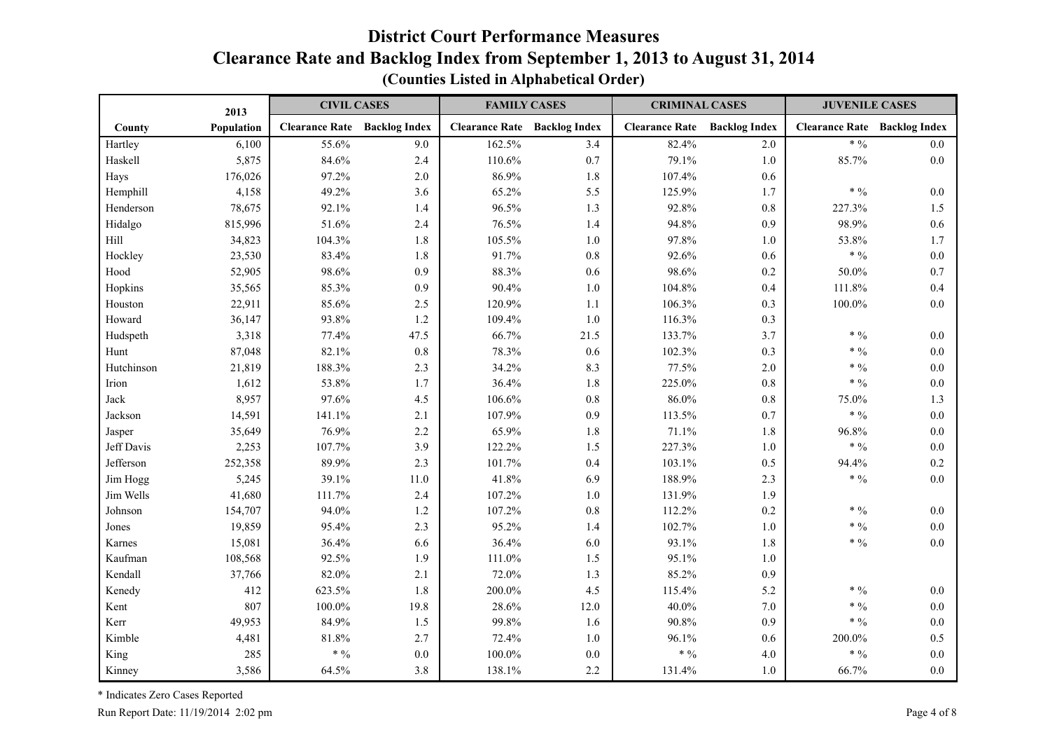|            | 2013       | <b>CIVIL CASES</b>    |                      | <b>FAMILY CASES</b>                 |         | <b>CRIMINAL CASES</b>               |         | <b>JUVENILE CASES</b>               |         |
|------------|------------|-----------------------|----------------------|-------------------------------------|---------|-------------------------------------|---------|-------------------------------------|---------|
| County     | Population | <b>Clearance Rate</b> | <b>Backlog Index</b> | <b>Clearance Rate Backlog Index</b> |         | <b>Clearance Rate</b> Backlog Index |         | <b>Clearance Rate Backlog Index</b> |         |
| Hartley    | 6,100      | 55.6%                 | 9.0                  | 162.5%                              | 3.4     | 82.4%                               | 2.0     | $* 9/0$                             | 0.0     |
| Haskell    | 5,875      | 84.6%                 | 2.4                  | 110.6%                              | 0.7     | 79.1%                               | 1.0     | 85.7%                               | 0.0     |
| Hays       | 176,026    | 97.2%                 | 2.0                  | 86.9%                               | 1.8     | 107.4%                              | 0.6     |                                     |         |
| Hemphill   | 4,158      | 49.2%                 | 3.6                  | 65.2%                               | 5.5     | 125.9%                              | 1.7     | $\ast$ $\%$                         | 0.0     |
| Henderson  | 78,675     | 92.1%                 | 1.4                  | 96.5%                               | 1.3     | 92.8%                               | 0.8     | 227.3%                              | 1.5     |
| Hidalgo    | 815,996    | 51.6%                 | 2.4                  | 76.5%                               | 1.4     | 94.8%                               | 0.9     | 98.9%                               | 0.6     |
| Hill       | 34,823     | 104.3%                | 1.8                  | 105.5%                              | 1.0     | 97.8%                               | $1.0\,$ | 53.8%                               | 1.7     |
| Hockley    | 23,530     | 83.4%                 | 1.8                  | 91.7%                               | $0.8\,$ | 92.6%                               | 0.6     | * $\frac{0}{0}$                     | $0.0\,$ |
| Hood       | 52,905     | 98.6%                 | 0.9                  | 88.3%                               | 0.6     | 98.6%                               | $0.2\,$ | 50.0%                               | 0.7     |
| Hopkins    | 35,565     | 85.3%                 | 0.9                  | 90.4%                               | 1.0     | 104.8%                              | 0.4     | 111.8%                              | 0.4     |
| Houston    | 22,911     | 85.6%                 | 2.5                  | 120.9%                              | 1.1     | 106.3%                              | 0.3     | 100.0%                              | 0.0     |
| Howard     | 36,147     | 93.8%                 | 1.2                  | 109.4%                              | 1.0     | 116.3%                              | 0.3     |                                     |         |
| Hudspeth   | 3,318      | 77.4%                 | 47.5                 | 66.7%                               | 21.5    | 133.7%                              | 3.7     | $* 9/0$                             | 0.0     |
| Hunt       | 87,048     | 82.1%                 | 0.8                  | 78.3%                               | 0.6     | 102.3%                              | 0.3     | $* 9/0$                             | 0.0     |
| Hutchinson | 21,819     | 188.3%                | 2.3                  | 34.2%                               | 8.3     | 77.5%                               | 2.0     | $\ast$ $\,9\!/\!{}_0$               | 0.0     |
| Irion      | 1,612      | 53.8%                 | 1.7                  | 36.4%                               | 1.8     | 225.0%                              | 0.8     | * $\frac{0}{0}$                     | 0.0     |
| Jack       | 8,957      | 97.6%                 | 4.5                  | 106.6%                              | $0.8\,$ | 86.0%                               | $0.8\,$ | 75.0%                               | 1.3     |
| Jackson    | 14,591     | 141.1%                | 2.1                  | 107.9%                              | 0.9     | 113.5%                              | 0.7     | $* 9/0$                             | 0.0     |
| Jasper     | 35,649     | 76.9%                 | 2.2                  | 65.9%                               | 1.8     | 71.1%                               | 1.8     | 96.8%                               | 0.0     |
| Jeff Davis | 2,253      | 107.7%                | 3.9                  | 122.2%                              | 1.5     | 227.3%                              | $1.0\,$ | $* 9/0$                             | 0.0     |
| Jefferson  | 252,358    | 89.9%                 | 2.3                  | 101.7%                              | 0.4     | 103.1%                              | 0.5     | 94.4%                               | 0.2     |
| Jim Hogg   | 5,245      | 39.1%                 | 11.0                 | 41.8%                               | 6.9     | 188.9%                              | 2.3     | * $\frac{0}{0}$                     | 0.0     |
| Jim Wells  | 41,680     | 111.7%                | 2.4                  | 107.2%                              | $1.0$   | 131.9%                              | 1.9     |                                     |         |
| Johnson    | 154,707    | 94.0%                 | $1.2$                | 107.2%                              | $0.8\,$ | 112.2%                              | 0.2     | $* 0/0$                             | 0.0     |
| Jones      | 19,859     | 95.4%                 | 2.3                  | 95.2%                               | 1.4     | 102.7%                              | $1.0\,$ | $\ast$ $\,9\!/\!$                   | 0.0     |
| Karnes     | 15,081     | 36.4%                 | 6.6                  | 36.4%                               | 6.0     | 93.1%                               | 1.8     | $* 9/0$                             | 0.0     |
| Kaufman    | 108,568    | 92.5%                 | 1.9                  | 111.0%                              | 1.5     | 95.1%                               | 1.0     |                                     |         |
| Kendall    | 37,766     | 82.0%                 | 2.1                  | 72.0%                               | 1.3     | 85.2%                               | 0.9     |                                     |         |
| Kenedy     | 412        | 623.5%                | 1.8                  | 200.0%                              | 4.5     | 115.4%                              | 5.2     | $*9/0$                              | 0.0     |
| Kent       | 807        | 100.0%                | 19.8                 | 28.6%                               | 12.0    | 40.0%                               | 7.0     | * $\frac{0}{0}$                     | 0.0     |
| Kerr       | 49,953     | 84.9%                 | 1.5                  | 99.8%                               | 1.6     | 90.8%                               | 0.9     | $\ast$ $\%$                         | 0.0     |
| Kimble     | 4,481      | 81.8%                 | 2.7                  | 72.4%                               | 1.0     | 96.1%                               | 0.6     | 200.0%                              | 0.5     |
| King       | 285        | $* 9/0$               | 0.0                  | $100.0\%$                           | $0.0\,$ | $* 9/0$                             | 4.0     | $*9/0$                              | 0.0     |
| Kinney     | 3,586      | 64.5%                 | 3.8                  | 138.1%                              | 2.2     | 131.4%                              | $1.0\,$ | 66.7%                               | 0.0     |

**(Counties Listed in Alphabetical Order)**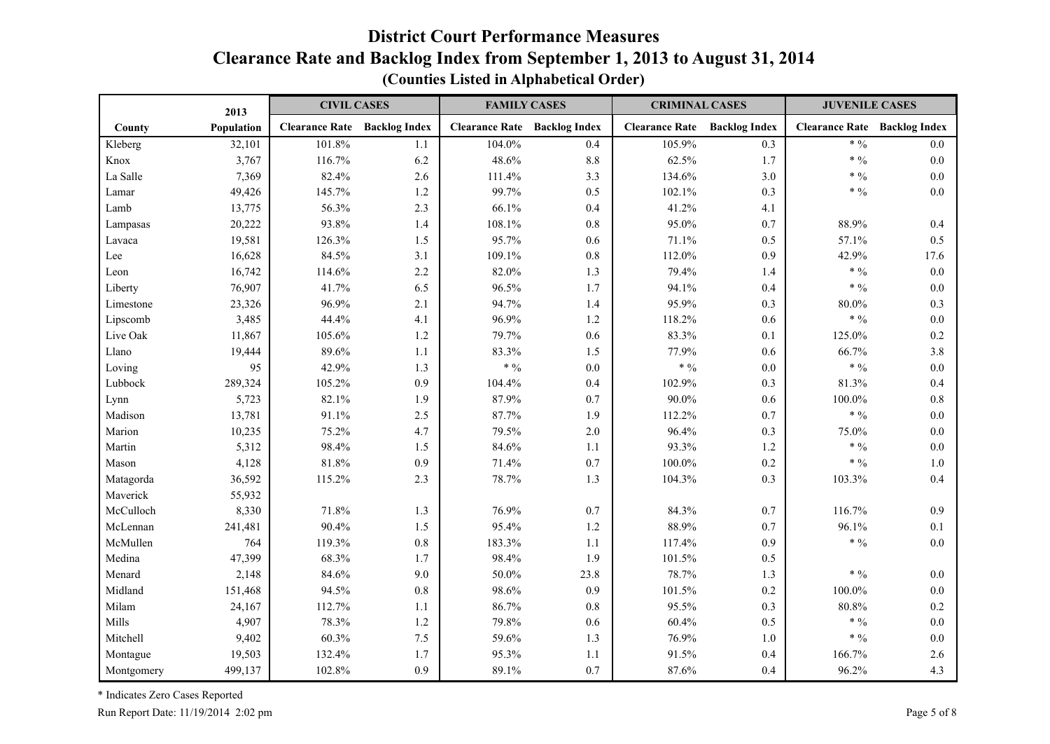|            | 2013       | <b>CIVIL CASES</b>    |                      | <b>FAMILY CASES</b>   |                      | <b>CRIMINAL CASES</b> |                      | <b>JUVENILE CASES</b> |                      |
|------------|------------|-----------------------|----------------------|-----------------------|----------------------|-----------------------|----------------------|-----------------------|----------------------|
| County     | Population | <b>Clearance Rate</b> | <b>Backlog Index</b> | <b>Clearance Rate</b> | <b>Backlog Index</b> | <b>Clearance Rate</b> | <b>Backlog Index</b> | <b>Clearance Rate</b> | <b>Backlog Index</b> |
| Kleberg    | 32,101     | 101.8%                | 1.1                  | 104.0%                | 0.4                  | 105.9%                | 0.3                  | * $\frac{0}{0}$       | 0.0                  |
| Knox       | 3,767      | 116.7%                | 6.2                  | 48.6%                 | 8.8                  | 62.5%                 | 1.7                  | $* 9/0$               | 0.0                  |
| La Salle   | 7,369      | 82.4%                 | 2.6                  | 111.4%                | 3.3                  | 134.6%                | 3.0                  | * $\frac{0}{0}$       | 0.0                  |
| Lamar      | 49,426     | 145.7%                | 1.2                  | 99.7%                 | 0.5                  | 102.1%                | 0.3                  | * $\frac{0}{0}$       | 0.0                  |
| Lamb       | 13,775     | 56.3%                 | 2.3                  | 66.1%                 | 0.4                  | 41.2%                 | 4.1                  |                       |                      |
| Lampasas   | 20,222     | 93.8%                 | 1.4                  | 108.1%                | 0.8                  | 95.0%                 | 0.7                  | 88.9%                 | 0.4                  |
| Lavaca     | 19,581     | 126.3%                | 1.5                  | 95.7%                 | 0.6                  | 71.1%                 | 0.5                  | 57.1%                 | 0.5                  |
| Lee        | 16,628     | 84.5%                 | 3.1                  | 109.1%                | 0.8                  | 112.0%                | 0.9                  | 42.9%                 | 17.6                 |
| Leon       | 16,742     | 114.6%                | 2.2                  | 82.0%                 | 1.3                  | 79.4%                 | 1.4                  | $* 9/0$               | 0.0                  |
| Liberty    | 76,907     | 41.7%                 | 6.5                  | 96.5%                 | 1.7                  | 94.1%                 | 0.4                  | $* 9/0$               | 0.0                  |
| Limestone  | 23,326     | 96.9%                 | 2.1                  | 94.7%                 | 1.4                  | 95.9%                 | 0.3                  | 80.0%                 | 0.3                  |
| Lipscomb   | 3,485      | 44.4%                 | 4.1                  | 96.9%                 | 1.2                  | 118.2%                | 0.6                  | $* 9/0$               | 0.0                  |
| Live Oak   | 11,867     | 105.6%                | $1.2\,$              | 79.7%                 | 0.6                  | 83.3%                 | 0.1                  | 125.0%                | 0.2                  |
| Llano      | 19,444     | 89.6%                 | 1.1                  | 83.3%                 | 1.5                  | 77.9%                 | 0.6                  | 66.7%                 | 3.8                  |
| Loving     | 95         | 42.9%                 | 1.3                  | $* 9/0$               | 0.0                  | $\ast$ $\%$           | 0.0                  | $* 9/0$               | 0.0                  |
| Lubbock    | 289,324    | 105.2%                | 0.9                  | 104.4%                | 0.4                  | 102.9%                | 0.3                  | 81.3%                 | 0.4                  |
| Lynn       | 5,723      | 82.1%                 | 1.9                  | 87.9%                 | 0.7                  | 90.0%                 | 0.6                  | 100.0%                | 0.8                  |
| Madison    | 13,781     | 91.1%                 | 2.5                  | 87.7%                 | 1.9                  | 112.2%                | 0.7                  | * $\frac{0}{0}$       | $0.0\,$              |
| Marion     | 10,235     | 75.2%                 | 4.7                  | 79.5%                 | $2.0$                | 96.4%                 | 0.3                  | 75.0%                 | $0.0\,$              |
| Martin     | 5,312      | 98.4%                 | 1.5                  | 84.6%                 | 1.1                  | 93.3%                 | 1.2                  | * $\frac{0}{0}$       | 0.0                  |
| Mason      | 4,128      | 81.8%                 | 0.9                  | 71.4%                 | 0.7                  | $100.0\%$             | 0.2                  | $*9/0$                | 1.0                  |
| Matagorda  | 36,592     | 115.2%                | 2.3                  | 78.7%                 | 1.3                  | 104.3%                | 0.3                  | 103.3%                | 0.4                  |
| Maverick   | 55,932     |                       |                      |                       |                      |                       |                      |                       |                      |
| McCulloch  | 8,330      | 71.8%                 | 1.3                  | 76.9%                 | 0.7                  | 84.3%                 | 0.7                  | 116.7%                | 0.9                  |
| McLennan   | 241,481    | 90.4%                 | 1.5                  | 95.4%                 | 1.2                  | 88.9%                 | 0.7                  | 96.1%                 | 0.1                  |
| McMullen   | 764        | 119.3%                | $0.8\,$              | 183.3%                | 1.1                  | 117.4%                | 0.9                  | * $\frac{0}{0}$       | 0.0                  |
| Medina     | 47,399     | 68.3%                 | 1.7                  | 98.4%                 | 1.9                  | 101.5%                | 0.5                  |                       |                      |
| Menard     | 2,148      | 84.6%                 | 9.0                  | $50.0\%$              | 23.8                 | 78.7%                 | 1.3                  | * $\frac{0}{0}$       | 0.0                  |
| Midland    | 151,468    | 94.5%                 | 0.8                  | 98.6%                 | 0.9                  | 101.5%                | 0.2                  | 100.0%                | 0.0                  |
| Milam      | 24,167     | 112.7%                | 1.1                  | 86.7%                 | 0.8                  | 95.5%                 | 0.3                  | 80.8%                 | 0.2                  |
| Mills      | 4,907      | 78.3%                 | 1.2                  | 79.8%                 | 0.6                  | 60.4%                 | 0.5                  | * $\frac{0}{0}$       | 0.0                  |
| Mitchell   | 9,402      | 60.3%                 | 7.5                  | 59.6%                 | 1.3                  | 76.9%                 | $1.0$                | $* 9/0$               | 0.0                  |
| Montague   | 19,503     | 132.4%                | 1.7                  | 95.3%                 | 1.1                  | 91.5%                 | 0.4                  | 166.7%                | 2.6                  |
| Montgomery | 499,137    | 102.8%                | 0.9                  | 89.1%                 | 0.7                  | 87.6%                 | 0.4                  | 96.2%                 | 4.3                  |

**(Counties Listed in Alphabetical Order)**

\* Indicates Zero Cases Reported

Run Report Date: 11/19/2014 2:02 pm Page 5 of 8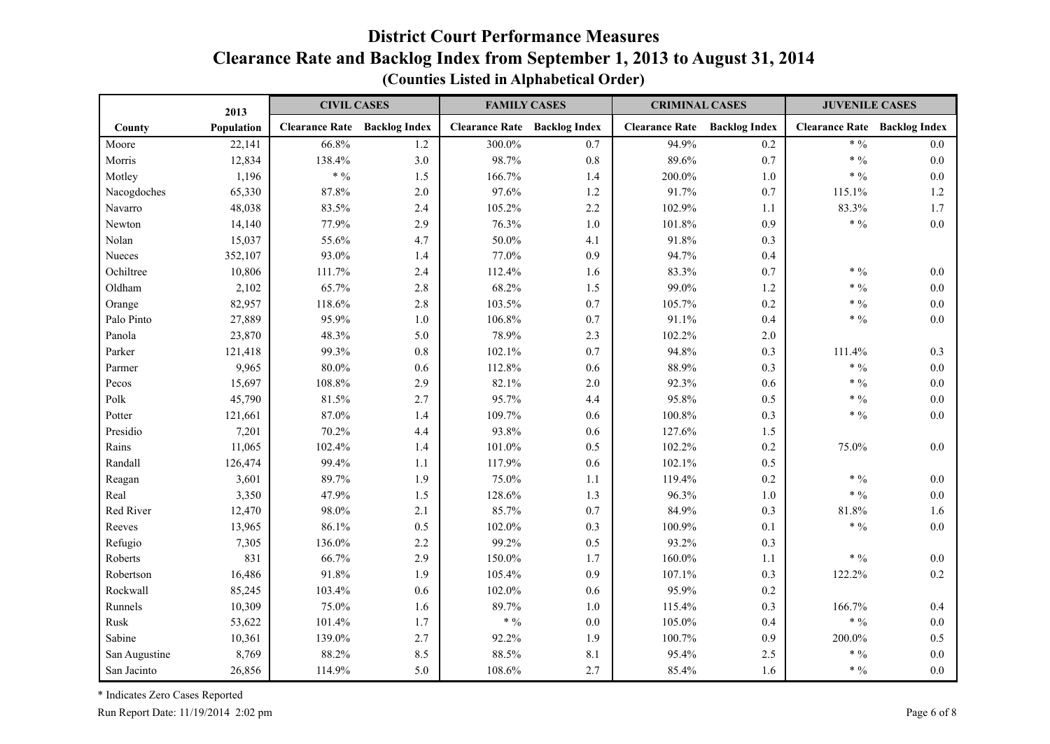|               | 2013       | <b>CIVIL CASES</b>    |                      | <b>FAMILY CASES</b>   |                      | <b>CRIMINAL CASES</b> |                      | <b>JUVENILE CASES</b>               |         |
|---------------|------------|-----------------------|----------------------|-----------------------|----------------------|-----------------------|----------------------|-------------------------------------|---------|
| County        | Population | <b>Clearance Rate</b> | <b>Backlog Index</b> | <b>Clearance Rate</b> | <b>Backlog Index</b> | <b>Clearance Rate</b> | <b>Backlog Index</b> | <b>Clearance Rate Backlog Index</b> |         |
| Moore         | 22,141     | 66.8%                 | 1.2                  | 300.0%                | 0.7                  | 94.9%                 | $0.2\,$              | $* 9/0$                             | 0.0     |
| Morris        | 12,834     | 138.4%                | 3.0                  | 98.7%                 | 0.8                  | 89.6%                 | 0.7                  | * $\frac{0}{0}$                     | 0.0     |
| Motley        | 1,196      | $\ast$ $\%$           | 1.5                  | 166.7%                | 1.4                  | 200.0%                | $1.0\,$              | $\ast$ $\,9\!/\!{}_0$               | 0.0     |
| Nacogdoches   | 65,330     | 87.8%                 | 2.0                  | 97.6%                 | 1.2                  | 91.7%                 | 0.7                  | 115.1%                              | 1.2     |
| Navarro       | 48,038     | 83.5%                 | 2.4                  | 105.2%                | 2.2                  | 102.9%                | 1.1                  | 83.3%                               | 1.7     |
| Newton        | 14,140     | 77.9%                 | 2.9                  | 76.3%                 | 1.0                  | 101.8%                | 0.9                  | $* 9/0$                             | 0.0     |
| Nolan         | 15,037     | 55.6%                 | 4.7                  | 50.0%                 | 4.1                  | 91.8%                 | 0.3                  |                                     |         |
| Nueces        | 352,107    | 93.0%                 | 1.4                  | 77.0%                 | 0.9                  | 94.7%                 | 0.4                  |                                     |         |
| Ochiltree     | 10,806     | 111.7%                | 2.4                  | 112.4%                | 1.6                  | 83.3%                 | 0.7                  | $* 9/0$                             | 0.0     |
| Oldham        | 2,102      | 65.7%                 | 2.8                  | 68.2%                 | 1.5                  | 99.0%                 | $1.2\,$              | $* 9/0$                             | 0.0     |
| Orange        | 82,957     | 118.6%                | 2.8                  | 103.5%                | 0.7                  | 105.7%                | $0.2\,$              | $* 9/0$                             | 0.0     |
| Palo Pinto    | 27,889     | 95.9%                 | 1.0                  | 106.8%                | 0.7                  | 91.1%                 | 0.4                  | $* 9/0$                             | 0.0     |
| Panola        | 23,870     | 48.3%                 | 5.0                  | 78.9%                 | 2.3                  | 102.2%                | 2.0                  |                                     |         |
| Parker        | 121,418    | 99.3%                 | $0.8\,$              | 102.1%                | 0.7                  | 94.8%                 | 0.3                  | 111.4%                              | 0.3     |
| Parmer        | 9,965      | 80.0%                 | 0.6                  | 112.8%                | 0.6                  | 88.9%                 | 0.3                  | * $\frac{0}{0}$                     | 0.0     |
| Pecos         | 15,697     | 108.8%                | 2.9                  | 82.1%                 | $2.0$                | 92.3%                 | 0.6                  | $\ast$ $\,9\!/\!{}_0$               | $0.0\,$ |
| Polk          | 45,790     | 81.5%                 | 2.7                  | 95.7%                 | 4.4                  | 95.8%                 | 0.5                  | $* 9/0$                             | 0.0     |
| Potter        | 121,661    | 87.0%                 | 1.4                  | 109.7%                | 0.6                  | 100.8%                | 0.3                  | $* 9/0$                             | 0.0     |
| Presidio      | 7,201      | 70.2%                 | 4.4                  | 93.8%                 | 0.6                  | 127.6%                | 1.5                  |                                     |         |
| Rains         | 11,065     | 102.4%                | 1.4                  | 101.0%                | 0.5                  | 102.2%                | 0.2                  | 75.0%                               | 0.0     |
| Randall       | 126,474    | 99.4%                 | 1.1                  | 117.9%                | 0.6                  | 102.1%                | 0.5                  |                                     |         |
| Reagan        | 3,601      | 89.7%                 | 1.9                  | 75.0%                 | 1.1                  | 119.4%                | 0.2                  | * $\frac{0}{0}$                     | 0.0     |
| Real          | 3,350      | 47.9%                 | 1.5                  | 128.6%                | 1.3                  | 96.3%                 | $1.0\,$              | $\ast$ $\,9\!/\!{}_0$               | 0.0     |
| Red River     | 12,470     | 98.0%                 | 2.1                  | 85.7%                 | 0.7                  | 84.9%                 | 0.3                  | 81.8%                               | 1.6     |
| Reeves        | 13,965     | 86.1%                 | 0.5                  | 102.0%                | 0.3                  | 100.9%                | 0.1                  | * $\frac{0}{0}$                     | 0.0     |
| Refugio       | 7,305      | 136.0%                | 2.2                  | 99.2%                 | 0.5                  | 93.2%                 | 0.3                  |                                     |         |
| Roberts       | 831        | 66.7%                 | 2.9                  | 150.0%                | 1.7                  | 160.0%                | 1.1                  | * $\frac{0}{0}$                     | 0.0     |
| Robertson     | 16,486     | 91.8%                 | 1.9                  | 105.4%                | 0.9                  | 107.1%                | 0.3                  | 122.2%                              | 0.2     |
| Rockwall      | 85,245     | 103.4%                | 0.6                  | 102.0%                | 0.6                  | 95.9%                 | $0.2\,$              |                                     |         |
| Runnels       | 10,309     | 75.0%                 | 1.6                  | 89.7%                 | 1.0                  | 115.4%                | 0.3                  | 166.7%                              | 0.4     |
| Rusk          | 53,622     | 101.4%                | 1.7                  | $* 0/0$               | $0.0\,$              | 105.0%                | 0.4                  | $\ast$ $\%$                         | $0.0\,$ |
| Sabine        | 10,361     | 139.0%                | 2.7                  | 92.2%                 | 1.9                  | 100.7%                | 0.9                  | 200.0%                              | 0.5     |
| San Augustine | 8,769      | 88.2%                 | 8.5                  | 88.5%                 | 8.1                  | 95.4%                 | $2.5\,$              | $* 0/0$                             | 0.0     |
| San Jacinto   | 26,856     | 114.9%                | 5.0                  | 108.6%                | 2.7                  | 85.4%                 | 1.6                  | $*9/0$                              | 0.0     |

**(Counties Listed in Alphabetical Order)**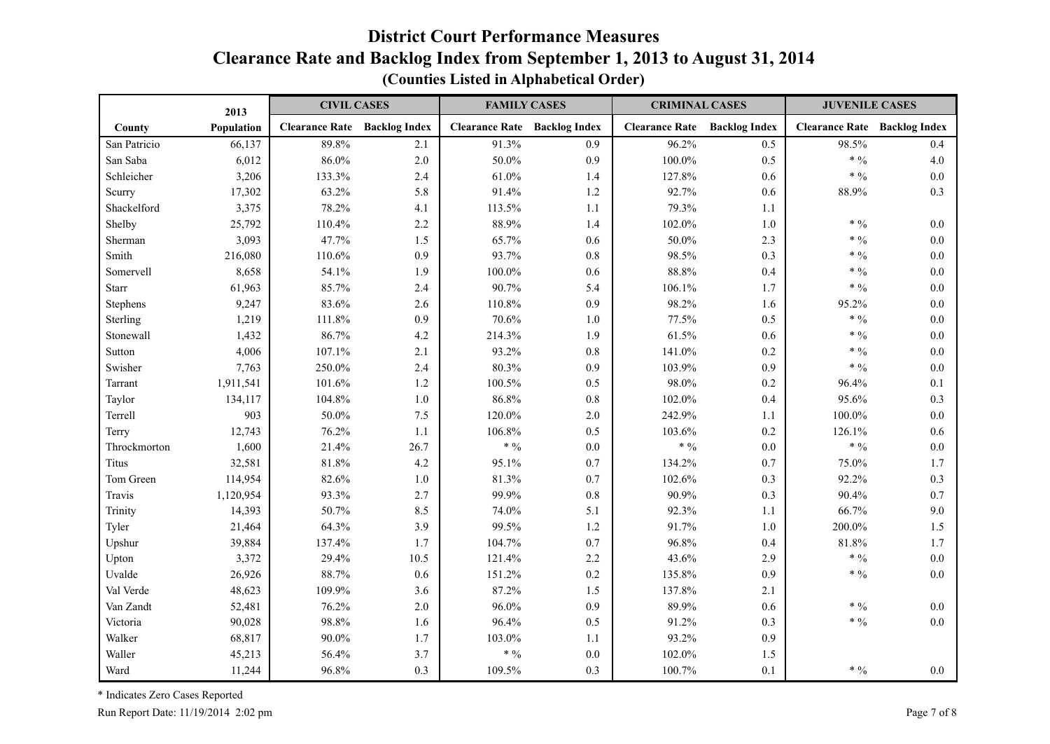|              | 2013       | <b>CIVIL CASES</b>    |                      | <b>FAMILY CASES</b>   |                      | <b>CRIMINAL CASES</b>               |         | <b>JUVENILE CASES</b>               |         |
|--------------|------------|-----------------------|----------------------|-----------------------|----------------------|-------------------------------------|---------|-------------------------------------|---------|
| County       | Population | <b>Clearance Rate</b> | <b>Backlog Index</b> | <b>Clearance Rate</b> | <b>Backlog Index</b> | <b>Clearance Rate</b> Backlog Index |         | <b>Clearance Rate Backlog Index</b> |         |
| San Patricio | 66,137     | 89.8%                 | 2.1                  | 91.3%                 | 0.9                  | 96.2%                               | 0.5     | 98.5%                               | 0.4     |
| San Saba     | 6,012      | 86.0%                 | 2.0                  | 50.0%                 | 0.9                  | $100.0\%$                           | 0.5     | * $\frac{0}{0}$                     | 4.0     |
| Schleicher   | 3,206      | 133.3%                | 2.4                  | 61.0%                 | 1.4                  | 127.8%                              | 0.6     | $* 9/0$                             | 0.0     |
| Scurry       | 17,302     | 63.2%                 | 5.8                  | 91.4%                 | 1.2                  | 92.7%                               | $0.6\,$ | 88.9%                               | 0.3     |
| Shackelford  | 3,375      | 78.2%                 | 4.1                  | 113.5%                | 1.1                  | 79.3%                               | 1.1     |                                     |         |
| Shelby       | 25,792     | 110.4%                | 2.2                  | 88.9%                 | 1.4                  | 102.0%                              | $1.0\,$ | * $\frac{0}{0}$                     | 0.0     |
| Sherman      | 3,093      | 47.7%                 | 1.5                  | 65.7%                 | 0.6                  | 50.0%                               | 2.3     | * $\frac{0}{0}$                     | 0.0     |
| Smith        | 216,080    | 110.6%                | 0.9                  | 93.7%                 | $0.8\,$              | 98.5%                               | 0.3     | $* 0/0$                             | 0.0     |
| Somervell    | 8,658      | 54.1%                 | 1.9                  | 100.0%                | 0.6                  | 88.8%                               | 0.4     | * $\frac{0}{0}$                     | 0.0     |
| <b>Starr</b> | 61,963     | 85.7%                 | 2.4                  | 90.7%                 | 5.4                  | 106.1%                              | 1.7     | $* 9/0$                             | 0.0     |
| Stephens     | 9,247      | 83.6%                 | 2.6                  | 110.8%                | 0.9                  | 98.2%                               | 1.6     | 95.2%                               | 0.0     |
| Sterling     | 1,219      | 111.8%                | 0.9                  | 70.6%                 | 1.0                  | 77.5%                               | 0.5     | * $\frac{0}{0}$                     | 0.0     |
| Stonewall    | 1,432      | 86.7%                 | 4.2                  | 214.3%                | 1.9                  | 61.5%                               | 0.6     | $* 9/0$                             | 0.0     |
| Sutton       | 4,006      | 107.1%                | 2.1                  | 93.2%                 | 0.8                  | 141.0%                              | 0.2     | $* 9/0$                             | 0.0     |
| Swisher      | 7,763      | 250.0%                | 2.4                  | 80.3%                 | 0.9                  | 103.9%                              | 0.9     | $\ast$ $\%$                         | 0.0     |
| Tarrant      | 1,911,541  | 101.6%                | $1.2$                | 100.5%                | 0.5                  | 98.0%                               | $0.2\,$ | 96.4%                               | 0.1     |
| Taylor       | 134,117    | 104.8%                | $1.0\,$              | 86.8%                 | $0.8\,$              | 102.0%                              | 0.4     | 95.6%                               | 0.3     |
| Terrell      | 903        | 50.0%                 | 7.5                  | 120.0%                | 2.0                  | 242.9%                              | 1.1     | 100.0%                              | 0.0     |
| Terry        | 12,743     | 76.2%                 | 1.1                  | 106.8%                | 0.5                  | 103.6%                              | $0.2\,$ | 126.1%                              | 0.6     |
| Throckmorton | 1,600      | 21.4%                 | 26.7                 | $* 9/0$               | $0.0\,$              | $\ast$ $\,9\!/\!$                   | $0.0\,$ | * $\frac{0}{0}$                     | $0.0\,$ |
| Titus        | 32,581     | 81.8%                 | 4.2                  | 95.1%                 | 0.7                  | 134.2%                              | 0.7     | 75.0%                               | 1.7     |
| Tom Green    | 114,954    | 82.6%                 | $1.0\,$              | 81.3%                 | 0.7                  | 102.6%                              | 0.3     | 92.2%                               | 0.3     |
| Travis       | 1,120,954  | 93.3%                 | 2.7                  | 99.9%                 | 0.8                  | 90.9%                               | 0.3     | 90.4%                               | 0.7     |
| Trinity      | 14,393     | 50.7%                 | 8.5                  | 74.0%                 | 5.1                  | 92.3%                               | 1.1     | 66.7%                               | 9.0     |
| Tyler        | 21,464     | 64.3%                 | 3.9                  | 99.5%                 | 1.2                  | 91.7%                               | $1.0\,$ | 200.0%                              | 1.5     |
| Upshur       | 39,884     | 137.4%                | 1.7                  | 104.7%                | 0.7                  | 96.8%                               | 0.4     | 81.8%                               | 1.7     |
| Upton        | 3,372      | 29.4%                 | 10.5                 | 121.4%                | 2.2                  | 43.6%                               | 2.9     | $* 9/0$                             | 0.0     |
| Uvalde       | 26,926     | 88.7%                 | 0.6                  | 151.2%                | 0.2                  | 135.8%                              | 0.9     | $* 9/0$                             | 0.0     |
| Val Verde    | 48,623     | 109.9%                | 3.6                  | 87.2%                 | 1.5                  | 137.8%                              | 2.1     |                                     |         |
| Van Zandt    | 52,481     | 76.2%                 | 2.0                  | 96.0%                 | 0.9                  | 89.9%                               | 0.6     | $* 9/0$                             | 0.0     |
| Victoria     | 90,028     | 98.8%                 | 1.6                  | 96.4%                 | 0.5                  | 91.2%                               | 0.3     | $\ast$ $\%$                         | 0.0     |
| Walker       | 68,817     | 90.0%                 | 1.7                  | 103.0%                | 1.1                  | 93.2%                               | 0.9     |                                     |         |
| Waller       | 45,213     | 56.4%                 | 3.7                  | * $\frac{0}{0}$       | $0.0\,$              | 102.0%                              | 1.5     |                                     |         |
| Ward         | 11,244     | 96.8%                 | 0.3                  | 109.5%                | 0.3                  | 100.7%                              | 0.1     | * $\frac{0}{0}$                     | 0.0     |

#### **(Counties Listed in Alphabetical Order)**